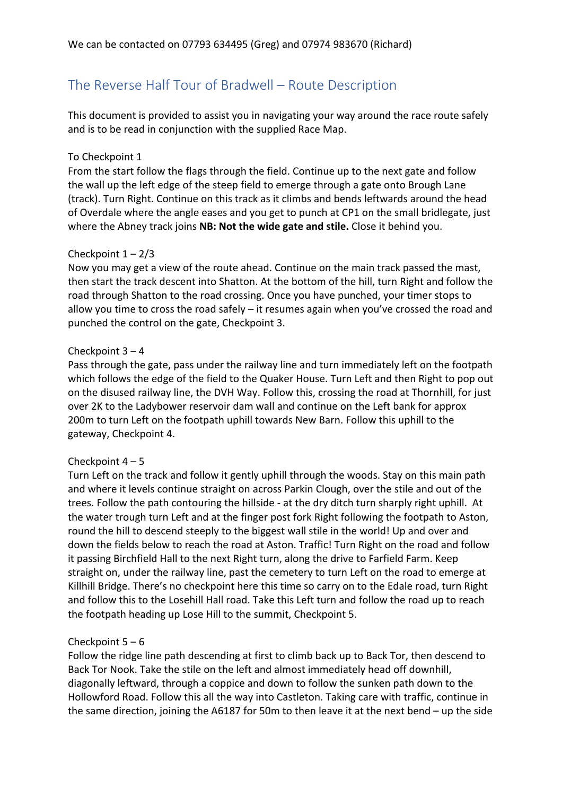# The Reverse Half Tour of Bradwell – Route Description

This document is provided to assist you in navigating your way around the race route safely and is to be read in conjunction with the supplied Race Map.

## To Checkpoint 1

From the start follow the flags through the field. Continue up to the next gate and follow the wall up the left edge of the steep field to emerge through a gate onto Brough Lane (track). Turn Right. Continue on this track as it climbs and bends leftwards around the head of Overdale where the angle eases and you get to punch at CP1 on the small bridlegate, just where the Abney track joins **NB: Not the wide gate and stile.** Close it behind you.

## Checkpoint  $1 - 2/3$

Now you may get a view of the route ahead. Continue on the main track passed the mast, then start the track descent into Shatton. At the bottom of the hill, turn Right and follow the road through Shatton to the road crossing. Once you have punched, your timer stops to allow you time to cross the road safely – it resumes again when you've crossed the road and punched the control on the gate, Checkpoint 3.

## Checkpoint 3 – 4

Pass through the gate, pass under the railway line and turn immediately left on the footpath which follows the edge of the field to the Quaker House. Turn Left and then Right to pop out on the disused railway line, the DVH Way. Follow this, crossing the road at Thornhill, for just over 2K to the Ladybower reservoir dam wall and continue on the Left bank for approx 200m to turn Left on the footpath uphill towards New Barn. Follow this uphill to the gateway, Checkpoint 4.

#### Checkpoint  $4 - 5$

Turn Left on the track and follow it gently uphill through the woods. Stay on this main path and where it levels continue straight on across Parkin Clough, over the stile and out of the trees. Follow the path contouring the hillside - at the dry ditch turn sharply right uphill. At the water trough turn Left and at the finger post fork Right following the footpath to Aston, round the hill to descend steeply to the biggest wall stile in the world! Up and over and down the fields below to reach the road at Aston. Traffic! Turn Right on the road and follow it passing Birchfield Hall to the next Right turn, along the drive to Farfield Farm. Keep straight on, under the railway line, past the cemetery to turn Left on the road to emerge at Killhill Bridge. There's no checkpoint here this time so carry on to the Edale road, turn Right and follow this to the Losehill Hall road. Take this Left turn and follow the road up to reach the footpath heading up Lose Hill to the summit, Checkpoint 5.

#### Checkpoint  $5 - 6$

Follow the ridge line path descending at first to climb back up to Back Tor, then descend to Back Tor Nook. Take the stile on the left and almost immediately head off downhill, diagonally leftward, through a coppice and down to follow the sunken path down to the Hollowford Road. Follow this all the way into Castleton. Taking care with traffic, continue in the same direction, joining the A6187 for 50m to then leave it at the next bend – up the side